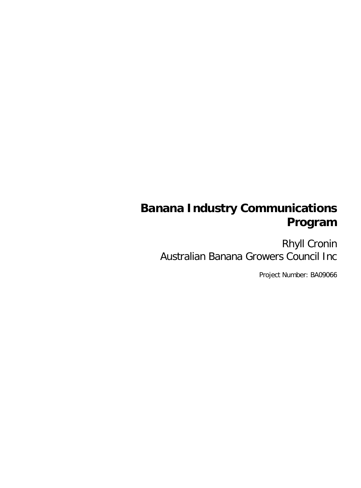# **Banana Industry Communications Program**

Rhyll Cronin Australian Banana Growers Council Inc

Project Number: BA09066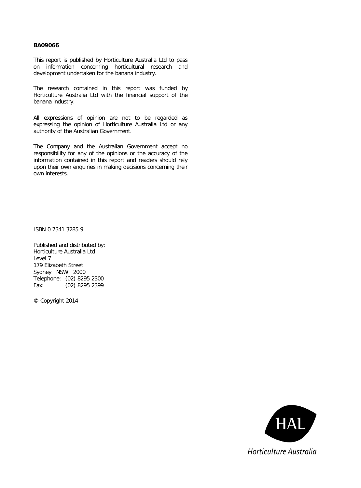#### **BA09066**

This report is published by Horticulture Australia Ltd to pass on information concerning horticultural research and development undertaken for the banana industry.

The research contained in this report was funded by Horticulture Australia Ltd with the financial support of the banana industry.

All expressions of opinion are not to be regarded as expressing the opinion of Horticulture Australia Ltd or any authority of the Australian Government.

The Company and the Australian Government accept no responsibility for any of the opinions or the accuracy of the information contained in this report and readers should rely upon their own enquiries in making decisions concerning their own interests.

ISBN 0 7341 3285 9

Published and distributed by: Horticulture Australia Ltd Level 7 179 Elizabeth Street Sydney NSW 2000 Telephone: (02) 8295 2300 Fax: (02) 8295 2399

© Copyright 2014

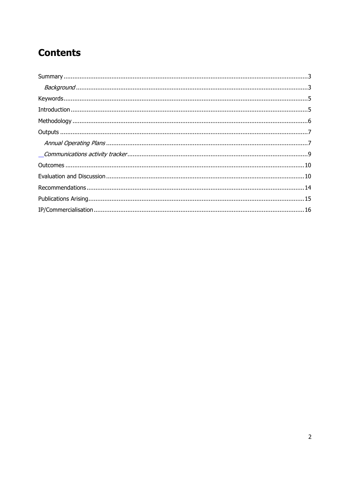## **Contents**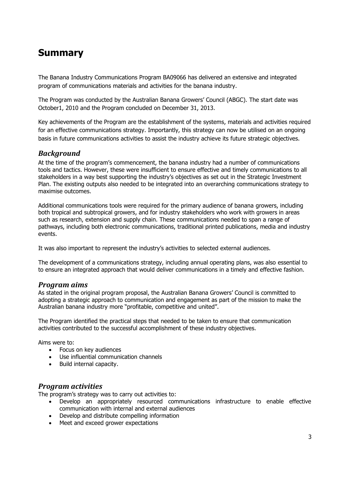## <span id="page-3-0"></span>**Summary**

The Banana Industry Communications Program BA09066 has delivered an extensive and integrated program of communications materials and activities for the banana industry.

The Program was conducted by the Australian Banana Growers' Council (ABGC). The start date was October1, 2010 and the Program concluded on December 31, 2013.

Key achievements of the Program are the establishment of the systems, materials and activities required for an effective communications strategy. Importantly, this strategy can now be utilised on an ongoing basis in future communications activities to assist the industry achieve its future strategic objectives.

#### <span id="page-3-1"></span>*Background*

At the time of the program's commencement, the banana industry had a number of communications tools and tactics. However, these were insufficient to ensure effective and timely communications to all stakeholders in a way best supporting the industry's objectives as set out in the Strategic Investment Plan. The existing outputs also needed to be integrated into an overarching communications strategy to maximise outcomes.

Additional communications tools were required for the primary audience of banana growers, including both tropical and subtropical growers, and for industry stakeholders who work with growers in areas such as research, extension and supply chain. These communications needed to span a range of pathways, including both electronic communications, traditional printed publications, media and industry events.

It was also important to represent the industry's activities to selected external audiences.

The development of a communications strategy, including annual operating plans, was also essential to to ensure an integrated approach that would deliver communications in a timely and effective fashion.

#### *Program aims*

As stated in the original program proposal, the Australian Banana Growers' Council is committed to adopting a strategic approach to communication and engagement as part of the mission to make the Australian banana industry more "profitable, competitive and united".

The Program identified the practical steps that needed to be taken to ensure that communication activities contributed to the successful accomplishment of these industry objectives.

Aims were to:

- Focus on key audiences
- Use influential communication channels
- Build internal capacity.

#### *Program activities*

The program's strategy was to carry out activities to:

- Develop an appropriately resourced communications infrastructure to enable effective communication with internal and external audiences
- Develop and distribute compelling information
- Meet and exceed grower expectations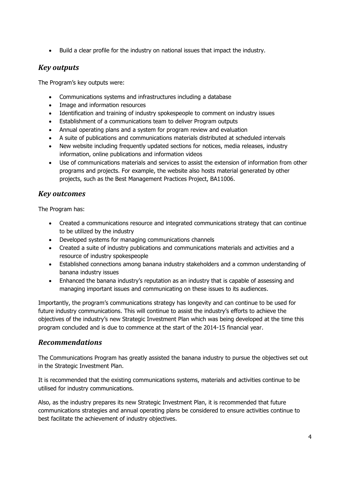Build a clear profile for the industry on national issues that impact the industry.

### *Key outputs*

The Program's key outputs were:

- Communications systems and infrastructures including a database
- Image and information resources
- Identification and training of industry spokespeople to comment on industry issues
- Establishment of a communications team to deliver Program outputs
- Annual operating plans and a system for program review and evaluation
- A suite of publications and communications materials distributed at scheduled intervals
- New website including frequently updated sections for notices, media releases, industry information, online publications and information videos
- Use of communications materials and services to assist the extension of information from other programs and projects. For example, the website also hosts material generated by other projects, such as the Best Management Practices Project, BA11006.

### *Key outcomes*

The Program has:

- Created a communications resource and integrated communications strategy that can continue to be utilized by the industry
- Developed systems for managing communications channels
- Created a suite of industry publications and communications materials and activities and a resource of industry spokespeople
- Established connections among banana industry stakeholders and a common understanding of banana industry issues
- Enhanced the banana industry's reputation as an industry that is capable of assessing and managing important issues and communicating on these issues to its audiences.

Importantly, the program's communications strategy has longevity and can continue to be used for future industry communications. This will continue to assist the industry's efforts to achieve the objectives of the industry's new Strategic Investment Plan which was being developed at the time this program concluded and is due to commence at the start of the 2014-15 financial year.

### *Recommendations*

The Communications Program has greatly assisted the banana industry to pursue the objectives set out in the Strategic Investment Plan.

It is recommended that the existing communications systems, materials and activities continue to be utilised for industry communications.

Also, as the industry prepares its new Strategic Investment Plan, it is recommended that future communications strategies and annual operating plans be considered to ensure activities continue to best facilitate the achievement of industry objectives.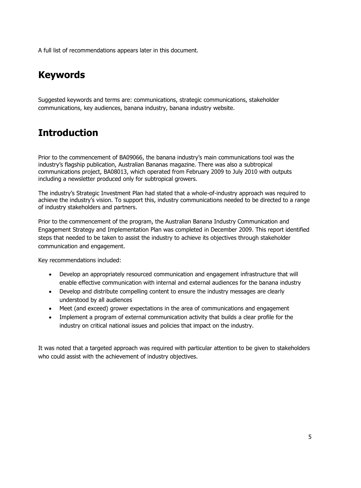A full list of recommendations appears later in this document.

## <span id="page-5-0"></span>**Keywords**

Suggested keywords and terms are: communications, strategic communications, stakeholder communications, key audiences, banana industry, banana industry website.

## <span id="page-5-1"></span>**Introduction**

Prior to the commencement of BA09066, the banana industry's main communications tool was the industry's flagship publication, Australian Bananas magazine. There was also a subtropical communications project, BA08013, which operated from February 2009 to July 2010 with outputs including a newsletter produced only for subtropical growers.

The industry's Strategic Investment Plan had stated that a whole-of-industry approach was required to achieve the industry's vision. To support this, industry communications needed to be directed to a range of industry stakeholders and partners.

Prior to the commencement of the program, the Australian Banana Industry Communication and Engagement Strategy and Implementation Plan was completed in December 2009. This report identified steps that needed to be taken to assist the industry to achieve its objectives through stakeholder communication and engagement.

Key recommendations included:

- Develop an appropriately resourced communication and engagement infrastructure that will enable effective communication with internal and external audiences for the banana industry
- Develop and distribute compelling content to ensure the industry messages are clearly understood by all audiences
- Meet (and exceed) grower expectations in the area of communications and engagement
- Implement a program of external communication activity that builds a clear profile for the industry on critical national issues and policies that impact on the industry.

It was noted that a targeted approach was required with particular attention to be given to stakeholders who could assist with the achievement of industry objectives.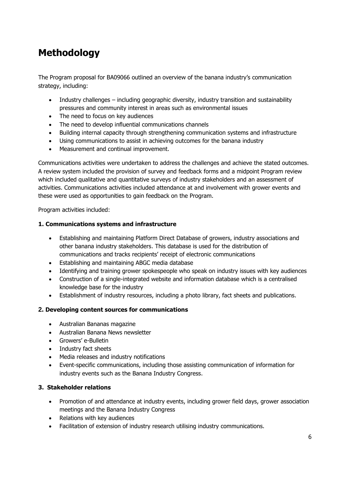## <span id="page-6-0"></span>**Methodology**

The Program proposal for BA09066 outlined an overview of the banana industry's communication strategy, including:

- Industry challenges including geographic diversity, industry transition and sustainability pressures and community interest in areas such as environmental issues
- The need to focus on key audiences
- The need to develop influential communications channels
- Building internal capacity through strengthening communication systems and infrastructure
- Using communications to assist in achieving outcomes for the banana industry
- Measurement and continual improvement.

Communications activities were undertaken to address the challenges and achieve the stated outcomes. A review system included the provision of survey and feedback forms and a midpoint Program review which included qualitative and quantitative surveys of industry stakeholders and an assessment of activities. Communications activities included attendance at and involvement with grower events and these were used as opportunities to gain feedback on the Program.

Program activities included:

#### **1. Communications systems and infrastructure**

- Establishing and maintaining Platform Direct Database of growers, industry associations and other banana industry stakeholders. This database is used for the distribution of communications and tracks recipients' receipt of electronic communications
- **•** Establishing and maintaining ABGC media database
- Identifying and training grower spokespeople who speak on industry issues with key audiences
- Construction of a single-integrated website and information database which is a centralised knowledge base for the industry
- Establishment of industry resources, including a photo library, fact sheets and publications.

#### **2. Developing content sources for communications**

- Australian Bananas magazine
- Australian Banana News newsletter
- Growers' e-Bulletin
- Industry fact sheets
- Media releases and industry notifications
- Event-specific communications, including those assisting communication of information for industry events such as the Banana Industry Congress.

#### **3. Stakeholder relations**

- Promotion of and attendance at industry events, including grower field days, grower association meetings and the Banana Industry Congress
- Relations with key audiences
- Facilitation of extension of industry research utilising industry communications.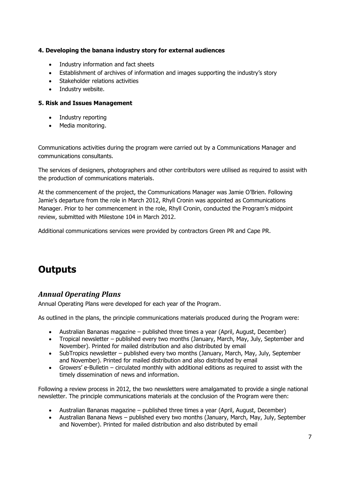#### **4. Developing the banana industry story for external audiences**

- Industry information and fact sheets
- Establishment of archives of information and images supporting the industry's story
- Stakeholder relations activities
- Industry website.

#### **5. Risk and Issues Management**

- Industry reporting
- Media monitoring.

Communications activities during the program were carried out by a Communications Manager and communications consultants.

The services of designers, photographers and other contributors were utilised as required to assist with the production of communications materials.

At the commencement of the project, the Communications Manager was Jamie O'Brien. Following Jamie's departure from the role in March 2012, Rhyll Cronin was appointed as Communications Manager. Prior to her commencement in the role, Rhyll Cronin, conducted the Program's midpoint review, submitted with Milestone 104 in March 2012.

Additional communications services were provided by contractors Green PR and Cape PR.

## <span id="page-7-0"></span>**Outputs**

#### <span id="page-7-1"></span>*Annual Operating Plans*

Annual Operating Plans were developed for each year of the Program.

As outlined in the plans, the principle communications materials produced during the Program were:

- Australian Bananas magazine published three times a year (April, August, December)
- Tropical newsletter published every two months (January, March, May, July, September and November). Printed for mailed distribution and also distributed by email
- SubTropics newsletter published every two months (January, March, May, July, September and November). Printed for mailed distribution and also distributed by email
- Growers' e-Bulletin circulated monthly with additional editions as required to assist with the timely dissemination of news and information.

Following a review process in 2012, the two newsletters were amalgamated to provide a single national newsletter. The principle communications materials at the conclusion of the Program were then:

- Australian Bananas magazine published three times a year (April, August, December)
- Australian Banana News published every two months (January, March, May, July, September and November). Printed for mailed distribution and also distributed by email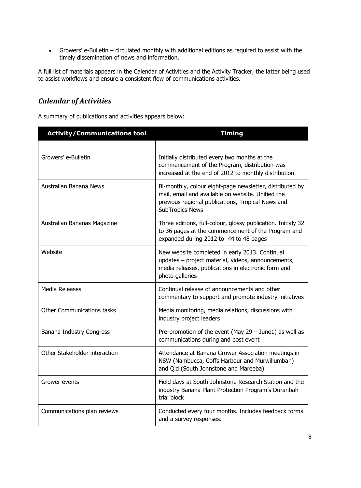Growers' e-Bulletin – circulated monthly with additional editions as required to assist with the timely dissemination of news and information.

A full list of materials appears in the Calendar of Activities and the Activity Tracker, the latter being used to assist workflows and ensure a consistent flow of communications activities.

### *Calendar of Activities*

A summary of publications and activities appears below:

| <b>Activity/Communications tool</b> | <b>Timing</b>                                                                                                                                                                                |  |  |  |  |  |  |  |  |
|-------------------------------------|----------------------------------------------------------------------------------------------------------------------------------------------------------------------------------------------|--|--|--|--|--|--|--|--|
|                                     |                                                                                                                                                                                              |  |  |  |  |  |  |  |  |
| Growers' e-Bulletin                 | Initially distributed every two months at the<br>commencement of the Program, distribution was<br>increased at the end of 2012 to monthly distribution                                       |  |  |  |  |  |  |  |  |
| Australian Banana News              | Bi-monthly, colour eight-page newsletter, distributed by<br>mail, email and available on website. Unified the<br>previous regional publications, Tropical News and<br><b>SubTropics News</b> |  |  |  |  |  |  |  |  |
| Australian Bananas Magazine         | Three editions, full-colour, glossy publication. Initialy 32<br>to 36 pages at the commencement of the Program and<br>expanded during 2012 to 44 to 48 pages                                 |  |  |  |  |  |  |  |  |
| Website                             | New website completed in early 2013. Continual<br>updates - project material, videos, announcements,<br>media releases, publications in electronic form and<br>photo galleries               |  |  |  |  |  |  |  |  |
| <b>Media Releases</b>               | Continual release of announcements and other<br>commentary to support and promote industry initiatives                                                                                       |  |  |  |  |  |  |  |  |
| Other Communications tasks          | Media monitoring, media relations, discussions with<br>industry project leaders                                                                                                              |  |  |  |  |  |  |  |  |
| Banana Industry Congress            | Pre-promotion of the event (May $29 -$ June1) as well as<br>communications during and post event                                                                                             |  |  |  |  |  |  |  |  |
| Other Stakeholder interaction       | Attendance at Banana Grower Association meetings in<br>NSW (Nambucca, Coffs Harbour and Murwillumbah)<br>and Qld (South Johnstone and Mareeba)                                               |  |  |  |  |  |  |  |  |
| Grower events                       | Field days at South Johnstone Research Station and the<br>industry Banana Plant Protection Program's Duranbah<br>trial block                                                                 |  |  |  |  |  |  |  |  |
| Communications plan reviews         | Conducted every four months. Includes feedback forms<br>and a survey responses.                                                                                                              |  |  |  |  |  |  |  |  |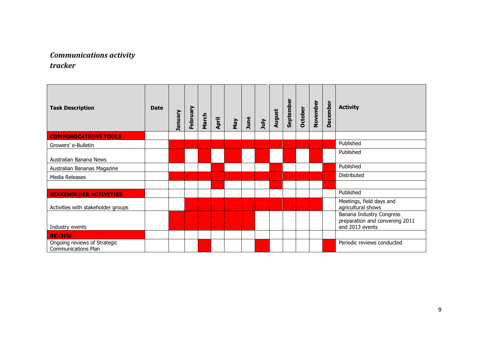### *Communications activity tracker*

<span id="page-9-0"></span>

| <b>Task Description</b>                                    | <b>Date</b> | January | February | March | April | Nay | June | July | August | September | October | November | December | <b>Activity</b>                                                               |
|------------------------------------------------------------|-------------|---------|----------|-------|-------|-----|------|------|--------|-----------|---------|----------|----------|-------------------------------------------------------------------------------|
| <b>COMMUNICATIONS TOOLS</b>                                |             |         |          |       |       |     |      |      |        |           |         |          |          |                                                                               |
| Growers' e-Bulletin                                        |             |         |          |       |       |     |      |      |        |           |         |          |          | Published                                                                     |
| Australian Banana News                                     |             |         |          |       |       |     |      |      |        |           |         |          |          | Published                                                                     |
| Australian Bananas Magazine                                |             |         |          |       |       |     |      |      |        |           |         |          |          | Published                                                                     |
| Media Releases                                             |             |         |          |       |       |     |      |      |        |           |         |          |          | Distributed                                                                   |
|                                                            |             |         |          |       |       |     |      |      |        |           |         |          |          |                                                                               |
| <b>STAKEHOLDER ACTIVITIES</b>                              |             |         |          |       |       |     |      |      |        |           |         |          |          | Published                                                                     |
| Activities with stakeholder groups                         |             |         |          |       |       |     |      |      |        |           |         |          |          | Meetings, field days and<br>agricultural shows                                |
| Industry events                                            |             |         |          |       |       |     |      |      |        |           |         |          |          | Banana Industry Congress<br>preparation and convening 2011<br>and 2013 events |
| <b>REVIEW</b>                                              |             |         |          |       |       |     |      |      |        |           |         |          |          |                                                                               |
| Ongoing reviews of Strategic<br><b>Communications Plan</b> |             |         |          |       |       |     |      |      |        |           |         |          |          | Periodic reviews conducted                                                    |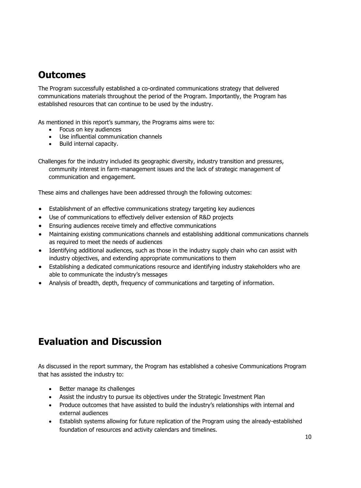### <span id="page-10-0"></span>**Outcomes**

The Program successfully established a co-ordinated communications strategy that delivered communications materials throughout the period of the Program. Importantly, the Program has established resources that can continue to be used by the industry.

As mentioned in this report's summary, the Programs aims were to:

- Focus on key audiences
- Use influential communication channels
- Build internal capacity.

Challenges for the industry included its geographic diversity, industry transition and pressures, community interest in farm-management issues and the lack of strategic management of communication and engagement.

These aims and challenges have been addressed through the following outcomes:

- Establishment of an effective communications strategy targeting key audiences
- Use of communications to effectively deliver extension of R&D projects
- Ensuring audiences receive timely and effective communications
- Maintaining existing communications channels and establishing additional communications channels as required to meet the needs of audiences
- Identifying additional audiences, such as those in the industry supply chain who can assist with industry objectives, and extending appropriate communications to them
- Establishing a dedicated communications resource and identifying industry stakeholders who are able to communicate the industry's messages
- Analysis of breadth, depth, frequency of communications and targeting of information.

## <span id="page-10-1"></span>**Evaluation and Discussion**

As discussed in the report summary, the Program has established a cohesive Communications Program that has assisted the industry to:

- Better manage its challenges
- Assist the industry to pursue its objectives under the Strategic Investment Plan
- Produce outcomes that have assisted to build the industry's relationships with internal and external audiences
- Establish systems allowing for future replication of the Program using the already-established foundation of resources and activity calendars and timelines.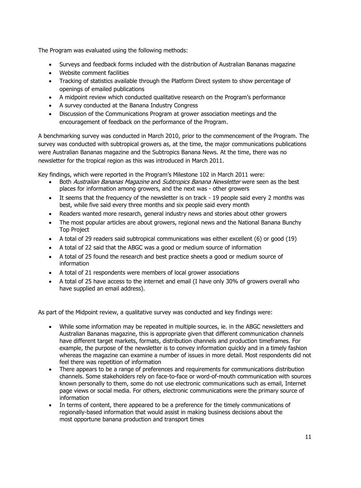The Program was evaluated using the following methods:

- Surveys and feedback forms included with the distribution of Australian Bananas magazine
- Website comment facilities
- Tracking of statistics available through the Platform Direct system to show percentage of openings of emailed publications
- A midpoint review which conducted qualitative research on the Program's performance
- A survey conducted at the Banana Industry Congress
- Discussion of the Communications Program at grower association meetings and the encouragement of feedback on the performance of the Program.

A benchmarking survey was conducted in March 2010, prior to the commencement of the Program. The survey was conducted with subtropical growers as, at the time, the major communications publications were Australian Bananas magazine and the Subtropics Banana News. At the time, there was no newsletter for the tropical region as this was introduced in March 2011.

Key findings, which were reported in the Program's Milestone 102 in March 2011 were:

- Both Australian Bananas Magazine and Subtropics Banana Newsletter were seen as the best places for information among growers, and the next was - other growers
- It seems that the frequency of the newsletter is on track 19 people said every 2 months was best, while five said every three months and six people said every month
- Readers wanted more research, general industry news and stories about other growers
- The most popular articles are about growers, regional news and the National Banana Bunchy Top Project
- A total of 29 readers said subtropical communications was either excellent (6) or good (19)
- A total of 22 said that the ABGC was a good or medium source of information
- A total of 25 found the research and best practice sheets a good or medium source of information
- A total of 21 respondents were members of local grower associations
- A total of 25 have access to the internet and email (I have only 30% of growers overall who have supplied an email address).

As part of the Midpoint review, a qualitative survey was conducted and key findings were:

- While some information may be repeated in multiple sources, ie. in the ABGC newsletters and Australian Bananas magazine, this is appropriate given that different communication channels have different target markets, formats, distribution channels and production timeframes. For example, the purpose of the newsletter is to convey information quickly and in a timely fashion whereas the magazine can examine a number of issues in more detail. Most respondents did not feel there was repetition of information
- There appears to be a range of preferences and requirements for communications distribution channels. Some stakeholders rely on face-to-face or word-of-mouth communication with sources known personally to them, some do not use electronic communications such as email, Internet page views or social media. For others, electronic communications were the primary source of information
- In terms of content, there appeared to be a preference for the timely communications of regionally-based information that would assist in making business decisions about the most opportune banana production and transport times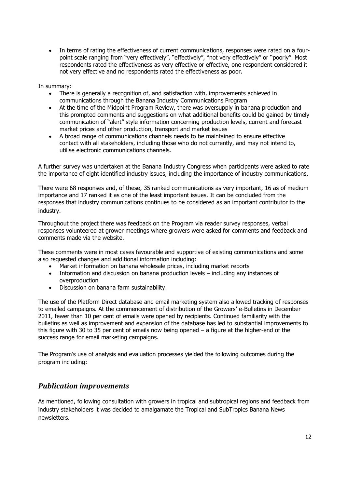In terms of rating the effectiveness of current communications, responses were rated on a fourpoint scale ranging from "very effectively", "effectively", "not very effectively" or "poorly". Most respondents rated the effectiveness as very effective or effective, one respondent considered it not very effective and no respondents rated the effectiveness as poor.

In summary:

- There is generally a recognition of, and satisfaction with, improvements achieved in communications through the Banana Industry Communications Program
- At the time of the Midpoint Program Review, there was oversupply in banana production and this prompted comments and suggestions on what additional benefits could be gained by timely communication of "alert" style information concerning production levels, current and forecast market prices and other production, transport and market issues
- A broad range of communications channels needs to be maintained to ensure effective contact with all stakeholders, including those who do not currently, and may not intend to, utilise electronic communications channels.

A further survey was undertaken at the Banana Industry Congress when participants were asked to rate the importance of eight identified industry issues, including the importance of industry communications.

There were 68 responses and, of these, 35 ranked communications as very important, 16 as of medium importance and 17 ranked it as one of the least important issues. It can be concluded from the responses that industry communications continues to be considered as an important contributor to the industry.

Throughout the project there was feedback on the Program via reader survey responses, verbal responses volunteered at grower meetings where growers were asked for comments and feedback and comments made via the website.

These comments were in most cases favourable and supportive of existing communications and some also requested changes and additional information including:

- Market information on banana wholesale prices, including market reports
- Information and discussion on banana production levels including any instances of overproduction
- Discussion on banana farm sustainability.

The use of the Platform Direct database and email marketing system also allowed tracking of responses to emailed campaigns. At the commencement of distribution of the Growers' e-Bulletins in December 2011, fewer than 10 per cent of emails were opened by recipients. Continued familiarity with the bulletins as well as improvement and expansion of the database has led to substantial improvements to this figure with 30 to 35 per cent of emails now being opened – a figure at the higher-end of the success range for email marketing campaigns.

The Program's use of analysis and evaluation processes yielded the following outcomes during the program including:

### *Publication improvements*

As mentioned, following consultation with growers in tropical and subtropical regions and feedback from industry stakeholders it was decided to amalgamate the Tropical and SubTropics Banana News newsletters.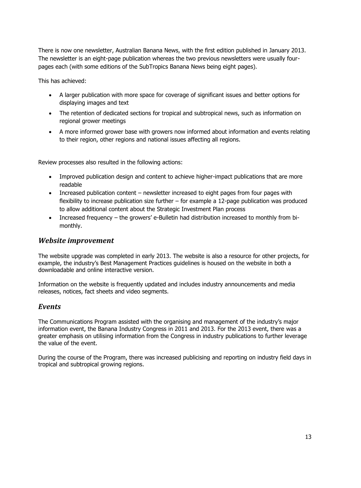There is now one newsletter, Australian Banana News, with the first edition published in January 2013. The newsletter is an eight-page publication whereas the two previous newsletters were usually fourpages each (with some editions of the SubTropics Banana News being eight pages).

This has achieved:

- A larger publication with more space for coverage of significant issues and better options for displaying images and text
- The retention of dedicated sections for tropical and subtropical news, such as information on regional grower meetings
- A more informed grower base with growers now informed about information and events relating to their region, other regions and national issues affecting all regions.

Review processes also resulted in the following actions:

- Improved publication design and content to achieve higher-impact publications that are more readable
- Increased publication content newsletter increased to eight pages from four pages with flexibility to increase publication size further – for example a 12-page publication was produced to allow additional content about the Strategic Investment Plan process
- Increased frequency the growers' e-Bulletin had distribution increased to monthly from bimonthly.

#### *Website improvement*

The website upgrade was completed in early 2013. The website is also a resource for other projects, for example, the industry's Best Management Practices guidelines is housed on the website in both a downloadable and online interactive version.

Information on the website is frequently updated and includes industry announcements and media releases, notices, fact sheets and video segments.

#### *Events*

The Communications Program assisted with the organising and management of the industry's major information event, the Banana Industry Congress in 2011 and 2013. For the 2013 event, there was a greater emphasis on utilising information from the Congress in industry publications to further leverage the value of the event.

During the course of the Program, there was increased publicising and reporting on industry field days in tropical and subtropical growing regions.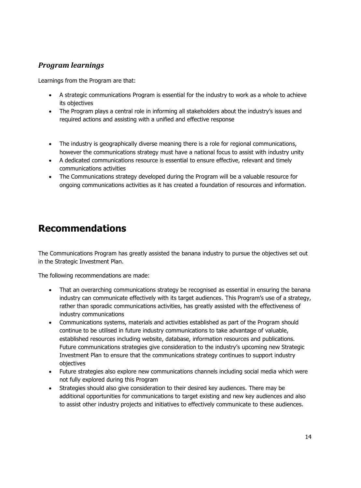### *Program learnings*

Learnings from the Program are that:

- A strategic communications Program is essential for the industry to work as a whole to achieve its objectives
- The Program plays a central role in informing all stakeholders about the industry's issues and required actions and assisting with a unified and effective response
- The industry is geographically diverse meaning there is a role for regional communications, however the communications strategy must have a national focus to assist with industry unity
- A dedicated communications resource is essential to ensure effective, relevant and timely communications activities
- The Communications strategy developed during the Program will be a valuable resource for ongoing communications activities as it has created a foundation of resources and information.

### <span id="page-14-0"></span>**Recommendations**

The Communications Program has greatly assisted the banana industry to pursue the objectives set out in the Strategic Investment Plan.

The following recommendations are made:

- That an overarching communications strategy be recognised as essential in ensuring the banana industry can communicate effectively with its target audiences. This Program's use of a strategy, rather than sporadic communications activities, has greatly assisted with the effectiveness of industry communications
- Communications systems, materials and activities established as part of the Program should continue to be utilised in future industry communications to take advantage of valuable, established resources including website, database, information resources and publications. Future communications strategies give consideration to the industry's upcoming new Strategic Investment Plan to ensure that the communications strategy continues to support industry objectives
- Future strategies also explore new communications channels including social media which were not fully explored during this Program
- Strategies should also give consideration to their desired key audiences. There may be additional opportunities for communications to target existing and new key audiences and also to assist other industry projects and initiatives to effectively communicate to these audiences.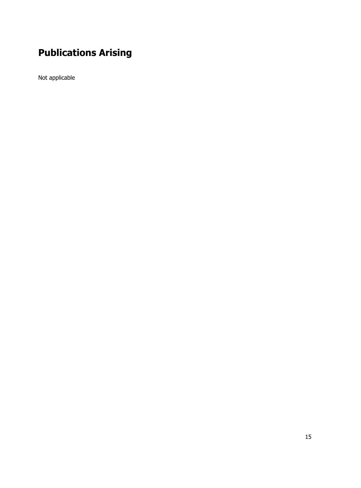# <span id="page-15-0"></span>**Publications Arising**

Not applicable